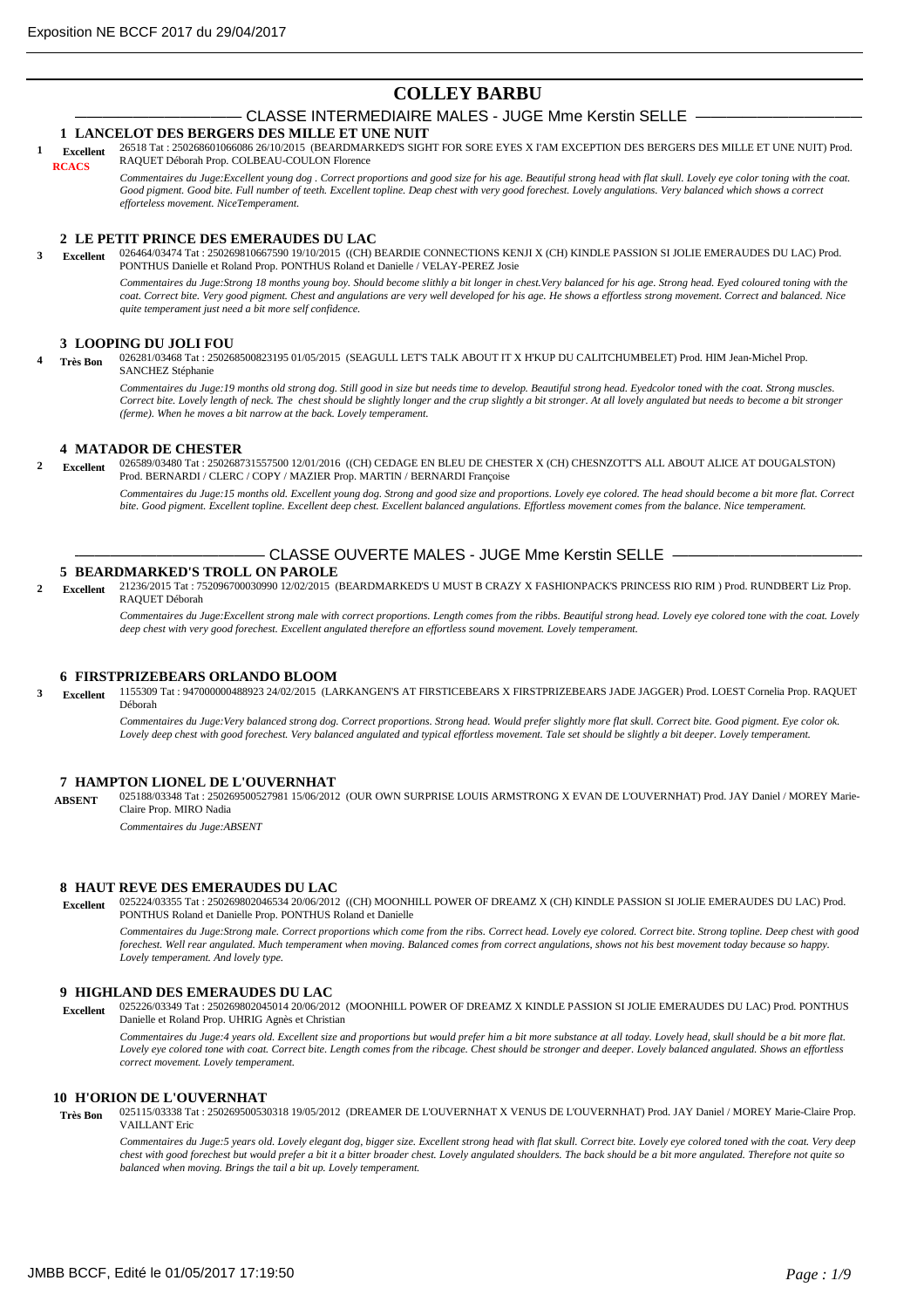# **COLLEY BARBU**

# CLASSE INTERMEDIAIRE MALES - JUGE Mme Kerstin SELLE -

## **1 LANCELOT DES BERGERS DES MILLE ET UNE NUIT**

26518 Tat : 250268601066086 26/10/2015 (BEARDMARKED'S SIGHT FOR SORE EYES X I'AM EXCEPTION DES BERGERS DES MILLE ET UNE NUIT) Prod. RAQUET Déborah Prop. COLBEAU-COULON Florence **1 Excellent RCACS**

*Commentaires du Juge:Excellent young dog . Correct proportions and good size for his age. Beautiful strong head with flat skull. Lovely eye color toning with the coat. Good pigment. Good bite. Full number of teeth. Excellent topline. Deap chest with very good forechest. Lovely angulations. Very balanced which shows a correct efforteless movement. NiceTemperament.*

## **2 LE PETIT PRINCE DES EMERAUDES DU LAC**

026464/03474 Tat : 250269810667590 19/10/2015 ((CH) BEARDIE CONNECTIONS KENJI X (CH) KINDLE PASSION SI JOLIE EMERAUDES DU LAC) Prod. PONTHUS Danielle et Roland Prop. PONTHUS Roland et Danielle / VELAY-PEREZ Josie *Commentaires du Juge:Strong 18 months young boy. Should become slithly a bit longer in chest.Very balanced for his age. Strong head. Eyed coloured toning with the coat. Correct bite. Very good pigment. Chest and angulations are very well developed for his age. He shows a effortless strong movement. Correct and balanced. Nice quite temperament just need a bit more self confidence.* **3 Excellent**

### **3 LOOPING DU JOLI FOU**

026281/03468 Tat : 250268500823195 01/05/2015 (SEAGULL LET'S TALK ABOUT IT X H'KUP DU CALITCHUMBELET) Prod. HIM Jean-Michel Prop. SANCHEZ Stéphanie **4 Très Bon**

> *Commentaires du Juge:19 months old strong dog. Still good in size but needs time to develop. Beautiful strong head. Eyedcolor toned with the coat. Strong muscles. Correct bite. Lovely length of neck. The chest should be slightly longer and the crup slightly a bit stronger. At all lovely angulated but needs to become a bit stronger (ferme). When he moves a bit narrow at the back. Lovely temperament.*

## **4 MATADOR DE CHESTER**

026589/03480 Tat : 250268731557500 12/01/2016 ((CH) CEDAGE EN BLEU DE CHESTER X (CH) CHESNZOTT'S ALL ABOUT ALICE AT DOUGALSTON) **2 Excellent** Prod. BERNARDI / CLERC / COPY / MAZIER Prop. MARTIN / BERNARDI Françoise

> *Commentaires du Juge:15 months old. Excellent young dog. Strong and good size and proportions. Lovely eye colored. The head should become a bit more flat. Correct bite. Good pigment. Excellent topline. Excellent deep chest. Excellent balanced angulations. Effortless movement comes from the balance. Nice temperament.*

# - CLASSE OUVERTE MALES - JUGE Mme Kerstin SELLE -

## **5 BEARDMARKED'S TROLL ON PAROLE**

21236/2015 Tat : 752096700030990 12/02/2015 (BEARDMARKED'S U MUST B CRAZY X FASHIONPACK'S PRINCESS RIO RIM ) Prod. RUNDBERT Liz Prop. RAQUET Déborah **2 Excellent**

*Commentaires du Juge:Excellent strong male with correct proportions. Length comes from the ribbs. Beautiful strong head. Lovely eye colored tone with the coat. Lovely deep chest with very good forechest. Excellent angulated therefore an effortless sound movement. Lovely temperament.*

## **6 FIRSTPRIZEBEARS ORLANDO BLOOM**

1155309 Tat : 947000000488923 24/02/2015 (LARKANGEN'S AT FIRSTICEBEARS X FIRSTPRIZEBEARS JADE JAGGER) Prod. LOEST Cornelia Prop. RAQUET Déborah **3 Excellent**

*Commentaires du Juge:Very balanced strong dog. Correct proportions. Strong head. Would prefer slightly more flat skull. Correct bite. Good pigment. Eye color ok. Lovely deep chest with good forechest. Very balanced angulated and typical effortless movement. Tale set should be slightly a bit deeper. Lovely temperament.*

## **7 HAMPTON LIONEL DE L'OUVERNHAT**

025188/03348 Tat : 250269500527981 15/06/2012 (OUR OWN SURPRISE LOUIS ARMSTRONG X EVAN DE L'OUVERNHAT) Prod. JAY Daniel / MOREY Marie-Claire Prop. MIRO Nadia **ABSENT**

*Commentaires du Juge:ABSENT*

#### **8 HAUT REVE DES EMERAUDES DU LAC**

025224/03355 Tat : 250269802046534 20/06/2012 ((CH) MOONHILL POWER OF DREAMZ X (CH) KINDLE PASSION SI JOLIE EMERAUDES DU LAC) Prod. PONTHUS Roland et Danielle Prop. PONTHUS Roland et Danielle  **Excellent**

*Commentaires du Juge:Strong male. Correct proportions which come from the ribs. Correct head. Lovely eye colored. Correct bite. Strong topline. Deep chest with good forechest. Well rear angulated. Much temperament when moving. Balanced comes from correct angulations, shows not his best movement today because so happy. Lovely temperament. And lovely type.*

### **9 HIGHLAND DES EMERAUDES DU LAC**

025226/03349 Tat : 250269802045014 20/06/2012 (MOONHILL POWER OF DREAMZ X KINDLE PASSION SI JOLIE EMERAUDES DU LAC) Prod. PONTHUS  **Excellent** Danielle et Roland Prop. UHRIG Agnès et Christian

*Commentaires du Juge:4 years old. Excellent size and proportions but would prefer him a bit more substance at all today. Lovely head, skull should be a bit more flat. Lovely eye colored tone with coat. Correct bite. Length comes from the ribcage. Chest should be stronger and deeper. Lovely balanced angulated. Shows an effortless correct movement. Lovely temperament.*

## **10 H'ORION DE L'OUVERNHAT**

025115/03338 Tat : 250269500530318 19/05/2012 (DREAMER DE L'OUVERNHAT X VENUS DE L'OUVERNHAT) Prod. JAY Daniel / MOREY Marie-Claire Prop. VAILLANT Eric  **Très Bon**

*Commentaires du Juge:5 years old. Lovely elegant dog, bigger size. Excellent strong head with flat skull. Correct bite. Lovely eye colored toned with the coat. Very deep chest with good forechest but would prefer a bit it a bitter broader chest. Lovely angulated shoulders. The back should be a bit more angulated. Therefore not quite so balanced when moving. Brings the tail a bit up. Lovely temperament.*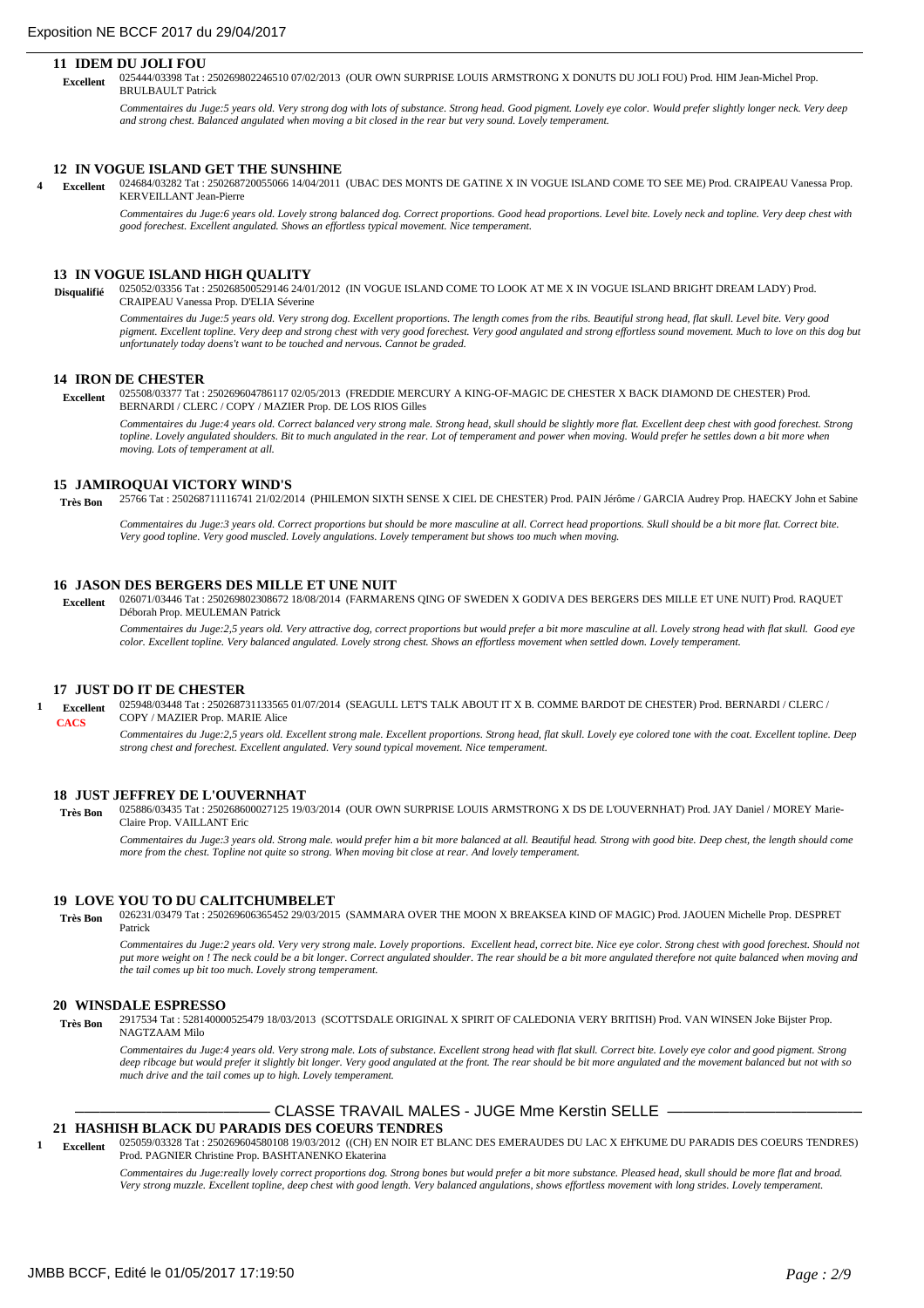### **11 IDEM DU JOLI FOU**

025444/03398 Tat : 250269802246510 07/02/2013 (OUR OWN SURPRISE LOUIS ARMSTRONG X DONUTS DU JOLI FOU) Prod. HIM Jean-Michel Prop. BRULBAULT Patrick  **Excellent**

*Commentaires du Juge:5 years old. Very strong dog with lots of substance. Strong head. Good pigment. Lovely eye color. Would prefer slightly longer neck. Very deep and strong chest. Balanced angulated when moving a bit closed in the rear but very sound. Lovely temperament.*

#### **12 IN VOGUE ISLAND GET THE SUNSHINE**

024684/03282 Tat : 250268720055066 14/04/2011 (UBAC DES MONTS DE GATINE X IN VOGUE ISLAND COME TO SEE ME) Prod. CRAIPEAU Vanessa Prop. KERVEILLANT Jean-Pierre **4 Excellent**

*Commentaires du Juge:6 years old. Lovely strong balanced dog. Correct proportions. Good head proportions. Level bite. Lovely neck and topline. Very deep chest with good forechest. Excellent angulated. Shows an effortless typical movement. Nice temperament.*

#### **13 IN VOGUE ISLAND HIGH QUALITY**

025052/03356 Tat : 250268500529146 24/01/2012 (IN VOGUE ISLAND COME TO LOOK AT ME X IN VOGUE ISLAND BRIGHT DREAM LADY) Prod. CRAIPEAU Vanessa Prop. D'ELIA Séverine **Disqualifié**

*Commentaires du Juge:5 years old. Very strong dog. Excellent proportions. The length comes from the ribs. Beautiful strong head, flat skull. Level bite. Very good pigment. Excellent topline. Very deep and strong chest with very good forechest. Very good angulated and strong effortless sound movement. Much to love on this dog but unfortunately today doens't want to be touched and nervous. Cannot be graded.*

#### **14 IRON DE CHESTER**

025508/03377 Tat : 250269604786117 02/05/2013 (FREDDIE MERCURY A KING-OF-MAGIC DE CHESTER X BACK DIAMOND DE CHESTER) Prod. BERNARDI / CLERC / COPY / MAZIER Prop. DE LOS RIOS Gilles  **Excellent**

*Commentaires du Juge:4 years old. Correct balanced very strong male. Strong head, skull should be slightly more flat. Excellent deep chest with good forechest. Strong topline. Lovely angulated shoulders. Bit to much angulated in the rear. Lot of temperament and power when moving. Would prefer he settles down a bit more when moving. Lots of temperament at all.*

### **15 JAMIROQUAI VICTORY WIND'S**

25766 Tat : 250268711116741 21/02/2014 (PHILEMON SIXTH SENSE X CIEL DE CHESTER) Prod. PAIN Jérôme / GARCIA Audrey Prop. HAECKY John et Sabine  **Très Bon**

*Commentaires du Juge:3 years old. Correct proportions but should be more masculine at all. Correct head proportions. Skull should be a bit more flat. Correct bite. Very good topline. Very good muscled. Lovely angulations. Lovely temperament but shows too much when moving.*

#### **16 JASON DES BERGERS DES MILLE ET UNE NUIT**

026071/03446 Tat : 250269802308672 18/08/2014 (FARMARENS QING OF SWEDEN X GODIVA DES BERGERS DES MILLE ET UNE NUIT) Prod. RAQUET Déborah Prop. MEULEMAN Patrick  **Excellent**

*Commentaires du Juge:2,5 years old. Very attractive dog, correct proportions but would prefer a bit more masculine at all. Lovely strong head with flat skull. Good eye color. Excellent topline. Very balanced angulated. Lovely strong chest. Shows an effortless movement when settled down. Lovely temperament.*

#### **17 JUST DO IT DE CHESTER**

025948/03448 Tat : 250268731133565 01/07/2014 (SEAGULL LET'S TALK ABOUT IT X B. COMME BARDOT DE CHESTER) Prod. BERNARDI / CLERC / COPY / MAZIER Prop. MARIE Alice *Commentaires du Juge:2,5 years old. Excellent strong male. Excellent proportions. Strong head, flat skull. Lovely eye colored tone with the coat. Excellent topline. Deep strong chest and forechest. Excellent angulated. Very sound typical movement. Nice temperament.* **1 Excellent CACS**

#### **18 JUST JEFFREY DE L'OUVERNHAT**

025886/03435 Tat : 250268600027125 19/03/2014 (OUR OWN SURPRISE LOUIS ARMSTRONG X DS DE L'OUVERNHAT) Prod. JAY Daniel / MOREY Marie-Claire Prop. VAILLANT Eric  **Très Bon**

*Commentaires du Juge:3 years old. Strong male. would prefer him a bit more balanced at all. Beautiful head. Strong with good bite. Deep chest, the length should come more from the chest. Topline not quite so strong. When moving bit close at rear. And lovely temperament.*

#### **19 LOVE YOU TO DU CALITCHUMBELET**

026231/03479 Tat : 250269606365452 29/03/2015 (SAMMARA OVER THE MOON X BREAKSEA KIND OF MAGIC) Prod. JAOUEN Michelle Prop. DESPRET Patrick  **Très Bon**

*Commentaires du Juge:2 years old. Very very strong male. Lovely proportions. Excellent head, correct bite. Nice eye color. Strong chest with good forechest. Should not put more weight on ! The neck could be a bit longer. Correct angulated shoulder. The rear should be a bit more angulated therefore not quite balanced when moving and the tail comes up bit too much. Lovely strong temperament.*

#### **20 WINSDALE ESPRESSO**

2917534 Tat : 528140000525479 18/03/2013 (SCOTTSDALE ORIGINAL X SPIRIT OF CALEDONIA VERY BRITISH) Prod. VAN WINSEN Joke Bijster Prop. NAGTZAAM Milo  **Très Bon**

*Commentaires du Juge:4 years old. Very strong male. Lots of substance. Excellent strong head with flat skull. Correct bite. Lovely eye color and good pigment. Strong deep ribcage but would prefer it slightly bit longer. Very good angulated at the front. The rear should be bit more angulated and the movement balanced but not with so much drive and the tail comes up to high. Lovely temperament.*

## CLASSE TRAVAIL MALES - JUGE Mme Kerstin SELLE -

## **21 HASHISH BLACK DU PARADIS DES COEURS TENDRES**

025059/03328 Tat : 250269604580108 19/03/2012 ((CH) EN NOIR ET BLANC DES EMERAUDES DU LAC X EH'KUME DU PARADIS DES COEURS TENDRES) Prod. PAGNIER Christine Prop. BASHTANENKO Ekaterina **1 Excellent**

*Commentaires du Juge:really lovely correct proportions dog. Strong bones but would prefer a bit more substance. Pleased head, skull should be more flat and broad. Very strong muzzle. Excellent topline, deep chest with good length. Very balanced angulations, shows effortless movement with long strides. Lovely temperament.*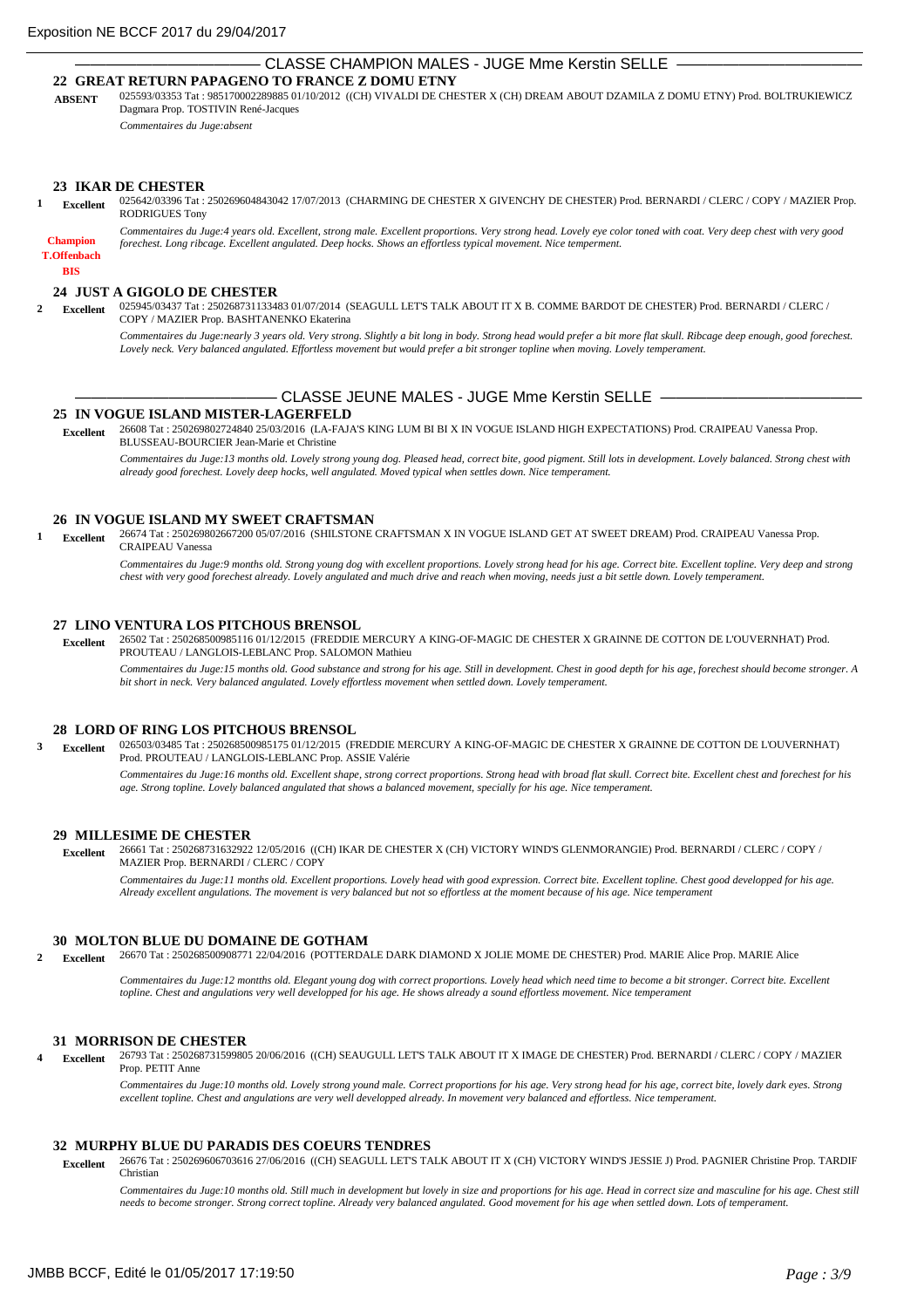## ——————————————— CLASSE CHAMPION MALES - JUGE Mme Kerstin SELLE ——————————————— **22 GREAT RETURN PAPAGENO TO FRANCE Z DOMU ETNY**

025593/03353 Tat : 985170002289885 01/10/2012 ((CH) VIVALDI DE CHESTER X (CH) DREAM ABOUT DZAMILA Z DOMU ETNY) Prod. BOLTRUKIEWICZ Dagmara Prop. TOSTIVIN René-Jacques **ABSENT**

*Commentaires du Juge:absent*

#### **23 IKAR DE CHESTER**

025642/03396 Tat : 250269604843042 17/07/2013 (CHARMING DE CHESTER X GIVENCHY DE CHESTER) Prod. BERNARDI / CLERC / COPY / MAZIER Prop. RODRIGUES Tony **1 Excellent**

*Commentaires du Juge:4 years old. Excellent, strong male. Excellent proportions. Very strong head. Lovely eye color toned with coat. Very deep chest with very good forechest. Long ribcage. Excellent angulated. Deep hocks. Shows an effortless typical movement. Nice temperment.*

**BIS T.Offenbach Champion**

#### **24 JUST A GIGOLO DE CHESTER**

025945/03437 Tat : 250268731133483 01/07/2014 (SEAGULL LET'S TALK ABOUT IT X B. COMME BARDOT DE CHESTER) Prod. BERNARDI / CLERC / COPY / MAZIER Prop. BASHTANENKO Ekaterina **2 Excellent**

*Commentaires du Juge:nearly 3 years old. Very strong. Slightly a bit long in body. Strong head would prefer a bit more flat skull. Ribcage deep enough, good forechest. Lovely neck. Very balanced angulated. Effortless movement but would prefer a bit stronger topline when moving. Lovely temperament.*

## CLASSE JEUNE MALES - JUGE Mme Kerstin SELLE -

## **25 IN VOGUE ISLAND MISTER-LAGERFELD**

26608 Tat : 250269802724840 25/03/2016 (LA-FAJA'S KING LUM BI BI X IN VOGUE ISLAND HIGH EXPECTATIONS) Prod. CRAIPEAU Vanessa Prop. BLUSSEAU-BOURCIER Jean-Marie et Christine  **Excellent**

*Commentaires du Juge:13 months old. Lovely strong young dog. Pleased head, correct bite, good pigment. Still lots in development. Lovely balanced. Strong chest with already good forechest. Lovely deep hocks, well angulated. Moved typical when settles down. Nice temperament.*

### **26 IN VOGUE ISLAND MY SWEET CRAFTSMAN**

26674 Tat : 250269802667200 05/07/2016 (SHILSTONE CRAFTSMAN X IN VOGUE ISLAND GET AT SWEET DREAM) Prod. CRAIPEAU Vanessa Prop. CRAIPEAU Vanessa **1 Excellent**

*Commentaires du Juge:9 months old. Strong young dog with excellent proportions. Lovely strong head for his age. Correct bite. Excellent topline. Very deep and strong chest with very good forechest already. Lovely angulated and much drive and reach when moving, needs just a bit settle down. Lovely temperament.*

#### **27 LINO VENTURA LOS PITCHOUS BRENSOL**

26502 Tat : 250268500985116 01/12/2015 (FREDDIE MERCURY A KING-OF-MAGIC DE CHESTER X GRAINNE DE COTTON DE L'OUVERNHAT) Prod. PROUTEAU / LANGLOIS-LEBLANC Prop. SALOMON Mathieu  **Excellent**

*Commentaires du Juge:15 months old. Good substance and strong for his age. Still in development. Chest in good depth for his age, forechest should become stronger. A bit short in neck. Very balanced angulated. Lovely effortless movement when settled down. Lovely temperament.*

## **28 LORD OF RING LOS PITCHOUS BRENSOL**

026503/03485 Tat : 250268500985175 01/12/2015 (FREDDIE MERCURY A KING-OF-MAGIC DE CHESTER X GRAINNE DE COTTON DE L'OUVERNHAT) Prod. PROUTEAU / LANGLOIS-LEBLANC Prop. ASSIE Valérie **3 Excellent**

*Commentaires du Juge:16 months old. Excellent shape, strong correct proportions. Strong head with broad flat skull. Correct bite. Excellent chest and forechest for his age. Strong topline. Lovely balanced angulated that shows a balanced movement, specially for his age. Nice temperament.*

#### **29 MILLESIME DE CHESTER**

26661 Tat : 250268731632922 12/05/2016 ((CH) IKAR DE CHESTER X (CH) VICTORY WIND'S GLENMORANGIE) Prod. BERNARDI / CLERC / COPY / MAZIER Prop. BERNARDI / CLERC / COPY  **Excellent**

*Commentaires du Juge:11 months old. Excellent proportions. Lovely head with good expression. Correct bite. Excellent topline. Chest good developped for his age. Already excellent angulations. The movement is very balanced but not so effortless at the moment because of his age. Nice temperament*

## **30 MOLTON BLUE DU DOMAINE DE GOTHAM**

26670 Tat : 250268500908771 22/04/2016 (POTTERDALE DARK DIAMOND X JOLIE MOME DE CHESTER) Prod. MARIE Alice Prop. MARIE Alice **2 Excellent**

> *Commentaires du Juge:12 montths old. Elegant young dog with correct proportions. Lovely head which need time to become a bit stronger. Correct bite. Excellent topline. Chest and angulations very well developped for his age. He shows already a sound effortless movement. Nice temperament*

#### **31 MORRISON DE CHESTER**

26793 Tat : 250268731599805 20/06/2016 ((CH) SEAUGULL LET'S TALK ABOUT IT X IMAGE DE CHESTER) Prod. BERNARDI / CLERC / COPY / MAZIER Prop. PETIT Anne **4 Excellent**

*Commentaires du Juge:10 months old. Lovely strong yound male. Correct proportions for his age. Very strong head for his age, correct bite, lovely dark eyes. Strong excellent topline. Chest and angulations are very well developped already. In movement very balanced and effortless. Nice temperament.*

#### **32 MURPHY BLUE DU PARADIS DES COEURS TENDRES**

26676 Tat : 250269606703616 27/06/2016 ((CH) SEAGULL LET'S TALK ABOUT IT X (CH) VICTORY WIND'S JESSIE J) Prod. PAGNIER Christine Prop. TARDIF Christian  **Excellent**

*Commentaires du Juge:10 months old. Still much in development but lovely in size and proportions for his age. Head in correct size and masculine for his age. Chest still needs to become stronger. Strong correct topline. Already very balanced angulated. Good movement for his age when settled down. Lots of temperament.*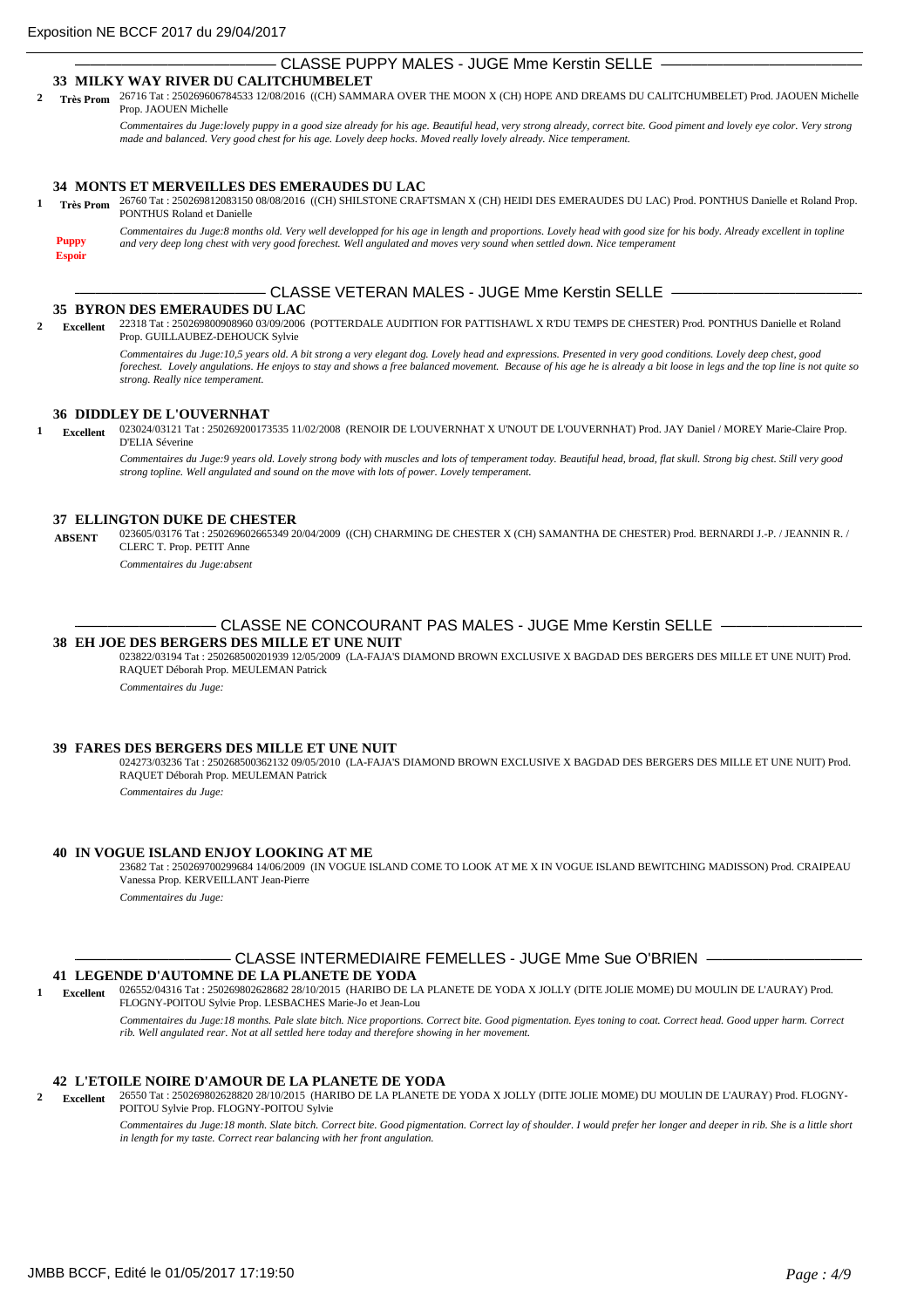# CLASSE PUPPY MALES - JUGE Mme Kerstin SELLE

## **33 MILKY WAY RIVER DU CALITCHUMBELET**

26716 Tat : 250269606784533 12/08/2016 ((CH) SAMMARA OVER THE MOON X (CH) HOPE AND DREAMS DU CALITCHUMBELET) Prod. JAOUEN Michelle **2 Très Prom** Prop. JAOUEN Michelle

*Commentaires du Juge:lovely puppy in a good size already for his age. Beautiful head, very strong already, correct bite. Good piment and lovely eye color. Very strong made and balanced. Very good chest for his age. Lovely deep hocks. Moved really lovely already. Nice temperament.*

## **34 MONTS ET MERVEILLES DES EMERAUDES DU LAC**

26760 Tat : 250269812083150 08/08/2016 ((CH) SHILSTONE CRAFTSMAN X (CH) HEIDI DES EMERAUDES DU LAC) Prod. PONTHUS Danielle et Roland Prop. **1 Très Prom** PONTHUS Roland et Danielle

**Puppy**

**Espoir**

*Commentaires du Juge:8 months old. Very well developped for his age in length and proportions. Lovely head with good size for his body. Already excellent in topline and very deep long chest with very good forechest. Well angulated and moves very sound when settled down. Nice temperament*

CLASSE VETERAN MALES - JUGE Mme Kerstin SELLE -

## **35 BYRON DES EMERAUDES DU LAC**

22318 Tat : 250269800908960 03/09/2006 (POTTERDALE AUDITION FOR PATTISHAWL X R'DU TEMPS DE CHESTER) Prod. PONTHUS Danielle et Roland Prop. GUILLAUBEZ-DEHOUCK Sylvie **2 Excellent**

> *Commentaires du Juge:10,5 years old. A bit strong a very elegant dog. Lovely head and expressions. Presented in very good conditions. Lovely deep chest, good forechest. Lovely angulations. He enjoys to stay and shows a free balanced movement. Because of his age he is already a bit loose in legs and the top line is not quite so strong. Really nice temperament.*

## **36 DIDDLEY DE L'OUVERNHAT**

023024/03121 Tat : 250269200173535 11/02/2008 (RENOIR DE L'OUVERNHAT X U'NOUT DE L'OUVERNHAT) Prod. JAY Daniel / MOREY Marie-Claire Prop. D'ELIA Séverine **1 Excellent**

*Commentaires du Juge:9 years old. Lovely strong body with muscles and lots of temperament today. Beautiful head, broad, flat skull. Strong big chest. Still very good strong topline. Well angulated and sound on the move with lots of power. Lovely temperament.*

## **37 ELLINGTON DUKE DE CHESTER**

023605/03176 Tat : 250269602665349 20/04/2009 ((CH) CHARMING DE CHESTER X (CH) SAMANTHA DE CHESTER) Prod. BERNARDI J.-P. / JEANNIN R. / CLERC T. Prop. PETIT Anne **ABSENT**

*Commentaires du Juge:absent*

## CLASSE NE CONCOURANT PAS MALES - JUGE Mme Kerstin SELLE —

# **38 EH JOE DES BERGERS DES MILLE ET UNE NUIT**

023822/03194 Tat : 250268500201939 12/05/2009 (LA-FAJA'S DIAMOND BROWN EXCLUSIVE X BAGDAD DES BERGERS DES MILLE ET UNE NUIT) Prod. RAQUET Déborah Prop. MEULEMAN Patrick

*Commentaires du Juge:*

#### **39 FARES DES BERGERS DES MILLE ET UNE NUIT**

024273/03236 Tat : 250268500362132 09/05/2010 (LA-FAJA'S DIAMOND BROWN EXCLUSIVE X BAGDAD DES BERGERS DES MILLE ET UNE NUIT) Prod. RAQUET Déborah Prop. MEULEMAN Patrick *Commentaires du Juge:*

#### **40 IN VOGUE ISLAND ENJOY LOOKING AT ME**

23682 Tat : 250269700299684 14/06/2009 (IN VOGUE ISLAND COME TO LOOK AT ME X IN VOGUE ISLAND BEWITCHING MADISSON) Prod. CRAIPEAU Vanessa Prop. KERVEILLANT Jean-Pierre *Commentaires du Juge:*

CLASSE INTERMEDIAIRE FEMELLES - JUGE Mme Sue O'BRIEN -

## **41 LEGENDE D'AUTOMNE DE LA PLANETE DE YODA**

026552/04316 Tat : 250269802628682 28/10/2015 (HARIBO DE LA PLANETE DE YODA X JOLLY (DITE JOLIE MOME) DU MOULIN DE L'AURAY) Prod. FLOGNY-POITOU Sylvie Prop. LESBACHES Marie-Jo et Jean-Lou **1 Excellent**

> *Commentaires du Juge:18 months. Pale slate bitch. Nice proportions. Correct bite. Good pigmentation. Eyes toning to coat. Correct head. Good upper harm. Correct rib. Well angulated rear. Not at all settled here today and therefore showing in her movement.*

## **42 L'ETOILE NOIRE D'AMOUR DE LA PLANETE DE YODA**

26550 Tat : 250269802628820 28/10/2015 (HARIBO DE LA PLANETE DE YODA X JOLLY (DITE JOLIE MOME) DU MOULIN DE L'AURAY) Prod. FLOGNY-POITOU Sylvie Prop. FLOGNY-POITOU Sylvie **2 Excellent**

*Commentaires du Juge:18 month. Slate bitch. Correct bite. Good pigmentation. Correct lay of shoulder. I would prefer her longer and deeper in rib. She is a little short in length for my taste. Correct rear balancing with her front angulation.*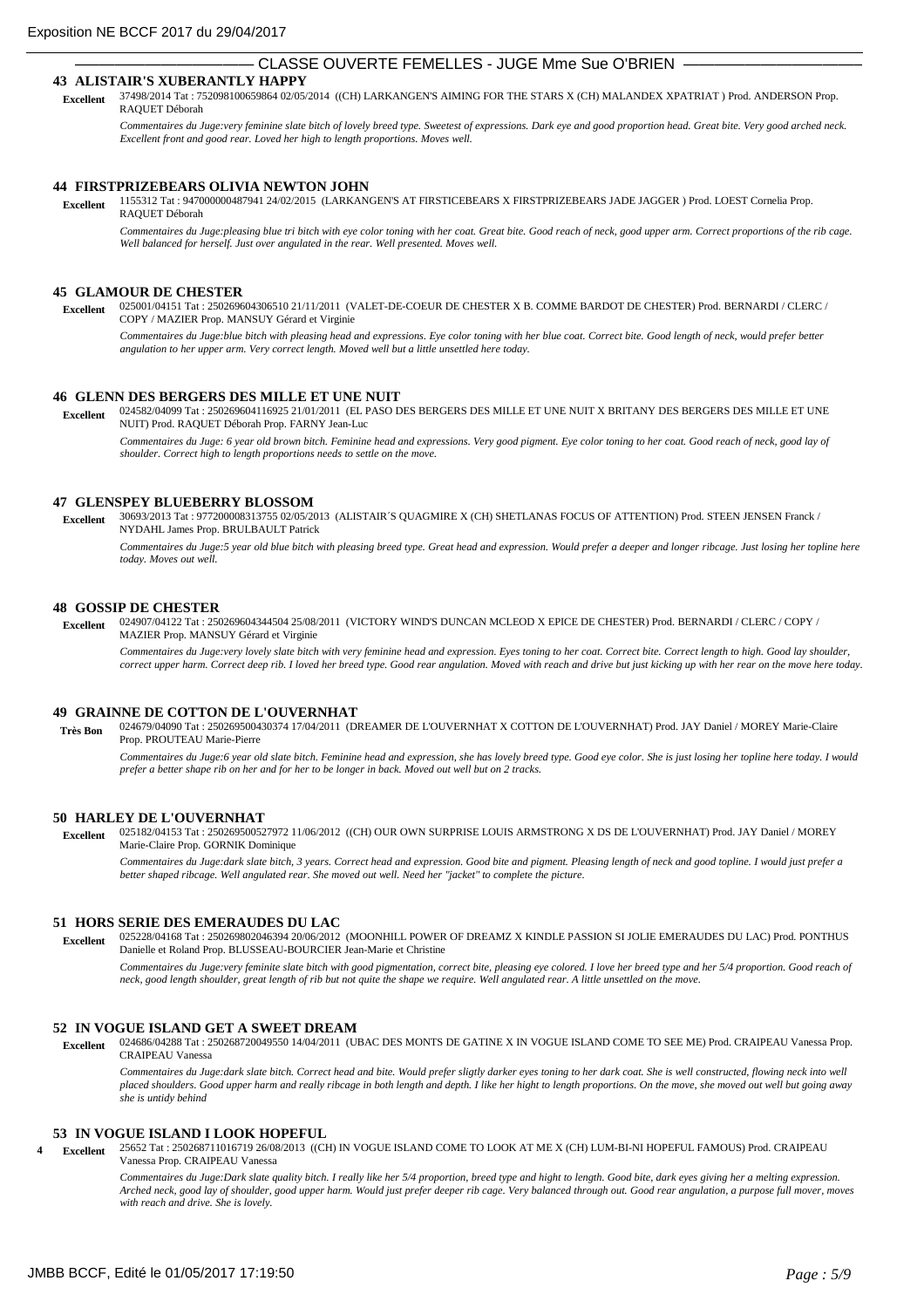## CLASSE OUVERTE FEMELLES - JUGE Mme Sue O'BRIEN

## **43 ALISTAIR'S XUBERANTLY HAPPY**

37498/2014 Tat : 752098100659864 02/05/2014 ((CH) LARKANGEN'S AIMING FOR THE STARS X (CH) MALANDEX XPATRIAT ) Prod. ANDERSON Prop. RAQUET Déborah  **Excellent**

*Commentaires du Juge:very feminine slate bitch of lovely breed type. Sweetest of expressions. Dark eye and good proportion head. Great bite. Very good arched neck. Excellent front and good rear. Loved her high to length proportions. Moves well.*

### **44 FIRSTPRIZEBEARS OLIVIA NEWTON JOHN**

1155312 Tat : 947000000487941 24/02/2015 (LARKANGEN'S AT FIRSTICEBEARS X FIRSTPRIZEBEARS JADE JAGGER ) Prod. LOEST Cornelia Prop. RAQUET Déborah  **Excellent**

*Commentaires du Juge:pleasing blue tri bitch with eye color toning with her coat. Great bite. Good reach of neck, good upper arm. Correct proportions of the rib cage. Well balanced for herself. Just over angulated in the rear. Well presented. Moves well.*

#### **45 GLAMOUR DE CHESTER**

025001/04151 Tat : 250269604306510 21/11/2011 (VALET-DE-COEUR DE CHESTER X B. COMME BARDOT DE CHESTER) Prod. BERNARDI / CLERC / COPY / MAZIER Prop. MANSUY Gérard et Virginie  **Excellent**

*Commentaires du Juge:blue bitch with pleasing head and expressions. Eye color toning with her blue coat. Correct bite. Good length of neck, would prefer better*  $\epsilon$ *angulation to her upper arm. Very correct length. Moved well but a little unsettled here today.*

#### **46 GLENN DES BERGERS DES MILLE ET UNE NUIT**

024582/04099 Tat : 250269604116925 21/01/2011 (EL PASO DES BERGERS DES MILLE ET UNE NUIT X BRITANY DES BERGERS DES MILLE ET UNE NUIT) Prod. RAQUET Déborah Prop. FARNY Jean-Luc  **Excellent**

Commentaires du Juge: 6 year old brown bitch. Feminine head and expressions. Very good pigment. Eye color toning to her coat. Good reach of neck, good lay of *shoulder. Correct high to length proportions needs to settle on the move.*

### **47 GLENSPEY BLUEBERRY BLOSSOM**

30693/2013 Tat : 977200008313755 02/05/2013 (ALISTAIR´S QUAGMIRE X (CH) SHETLANAS FOCUS OF ATTENTION) Prod. STEEN JENSEN Franck / NYDAHL James Prop. BRULBAULT Patrick  **Excellent**

*Commentaires du Juge:5 year old blue bitch with pleasing breed type. Great head and expression. Would prefer a deeper and longer ribcage. Just losing her topline here today. Moves out well.*

#### **48 GOSSIP DE CHESTER**

024907/04122 Tat : 250269604344504 25/08/2011 (VICTORY WIND'S DUNCAN MCLEOD X EPICE DE CHESTER) Prod. BERNARDI / CLERC / COPY / MAZIER Prop. MANSUY Gérard et Virginie  **Excellent**

*Commentaires du Juge:very lovely slate bitch with very feminine head and expression. Eyes toning to her coat. Correct bite. Correct length to high. Good lay shoulder, correct upper harm. Correct deep rib. I loved her breed type. Good rear angulation. Moved with reach and drive but just kicking up with her rear on the move here today.*

#### **49 GRAINNE DE COTTON DE L'OUVERNHAT**

024679/04090 Tat : 250269500430374 17/04/2011 (DREAMER DE L'OUVERNHAT X COTTON DE L'OUVERNHAT) Prod. JAY Daniel / MOREY Marie-Claire Prop. PROUTEAU Marie-Pierre  **Très Bon**

*Commentaires du Juge:6 year old slate bitch. Feminine head and expression, she has lovely breed type. Good eye color. She is just losing her topline here today. I would prefer a better shape rib on her and for her to be longer in back. Moved out well but on 2 tracks.*

#### **50 HARLEY DE L'OUVERNHAT**

025182/04153 Tat : 250269500527972 11/06/2012 ((CH) OUR OWN SURPRISE LOUIS ARMSTRONG X DS DE L'OUVERNHAT) Prod. JAY Daniel / MOREY Marie-Claire Prop. GORNIK Dominique  **Excellent**

*Commentaires du Juge:dark slate bitch, 3 years. Correct head and expression. Good bite and pigment. Pleasing length of neck and good topline. I would just prefer a better shaped ribcage. Well angulated rear. She moved out well. Need her "jacket" to complete the picture.*

## **51 HORS SERIE DES EMERAUDES DU LAC**

025228/04168 Tat : 250269802046394 20/06/2012 (MOONHILL POWER OF DREAMZ X KINDLE PASSION SI JOLIE EMERAUDES DU LAC) Prod. PONTHUS Danielle et Roland Prop. BLUSSEAU-BOURCIER Jean-Marie et Christine  **Excellent**

*Commentaires du Juge:very feminite slate bitch with good pigmentation, correct bite, pleasing eye colored. I love her breed type and her 5/4 proportion. Good reach of neck, good length shoulder, great length of rib but not quite the shape we require. Well angulated rear. A little unsettled on the move.*

## **52 IN VOGUE ISLAND GET A SWEET DREAM**

024686/04288 Tat : 250268720049550 14/04/2011 (UBAC DES MONTS DE GATINE X IN VOGUE ISLAND COME TO SEE ME) Prod. CRAIPEAU Vanessa Prop. CRAIPEAU Vanessa  **Excellent**

*Commentaires du Juge:dark slate bitch. Correct head and bite. Would prefer sligtly darker eyes toning to her dark coat. She is well constructed, flowing neck into well placed shoulders. Good upper harm and really ribcage in both length and depth. I like her hight to length proportions. On the move, she moved out well but going away she is untidy behind*

## **53 IN VOGUE ISLAND I LOOK HOPEFUL**

25652 Tat : 250268711016719 26/08/2013 ((CH) IN VOGUE ISLAND COME TO LOOK AT ME X (CH) LUM-BI-NI HOPEFUL FAMOUS) Prod. CRAIPEAU Vanessa Prop. CRAIPEAU Vanessa **4 Excellent**

*Commentaires du Juge:Dark slate quality bitch. I really like her 5/4 proportion, breed type and hight to length. Good bite, dark eyes giving her a melting expression. Arched neck, good lay of shoulder, good upper harm. Would just prefer deeper rib cage. Very balanced through out. Good rear angulation, a purpose full mover, moves with reach and drive. She is lovely.*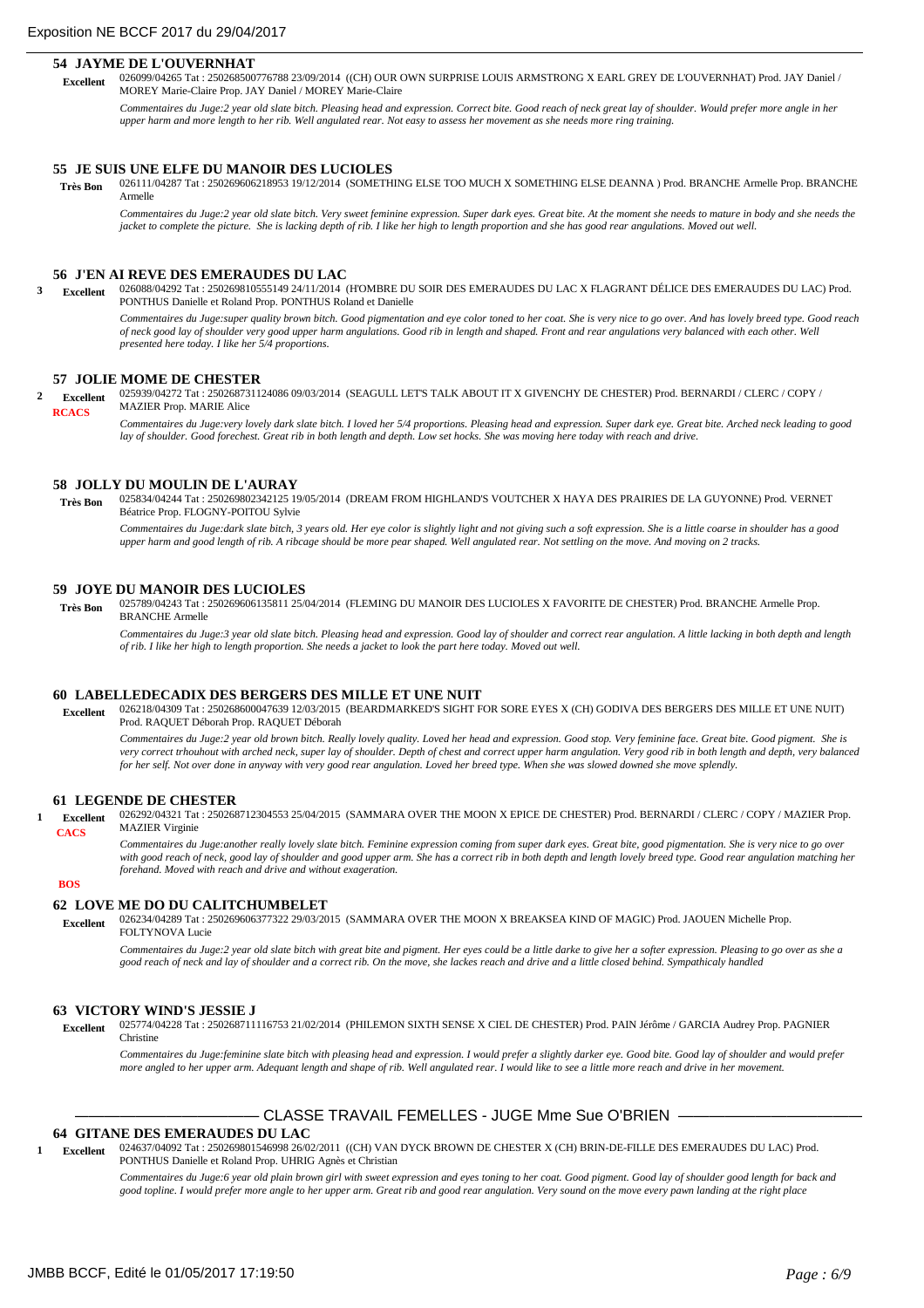#### **54 JAYME DE L'OUVERNHAT**

026099/04265 Tat : 250268500776788 23/09/2014 ((CH) OUR OWN SURPRISE LOUIS ARMSTRONG X EARL GREY DE L'OUVERNHAT) Prod. JAY Daniel / MOREY Marie-Claire Prop. JAY Daniel / MOREY Marie-Claire  **Excellent**

Commentaires du Juge:2 year old slate bitch. Pleasing head and expression. Correct bite. Good reach of neck great lay of shoulder. Would prefer more angle in her *upper harm and more length to her rib. Well angulated rear. Not easy to assess her movement as she needs more ring training.*

#### **55 JE SUIS UNE ELFE DU MANOIR DES LUCIOLES**

026111/04287 Tat : 250269606218953 19/12/2014 (SOMETHING ELSE TOO MUCH X SOMETHING ELSE DEANNA ) Prod. BRANCHE Armelle Prop. BRANCHE Armelle  **Très Bon**

Commentaires du Juge:2 year old slate bitch. Very sweet feminine expression. Super dark eyes. Great bite. At the moment she needs to mature in body and she needs the *jacket to complete the picture. She is lacking depth of rib. I like her high to length proportion and she has good rear angulations. Moved out well.*

#### **56 J'EN AI REVE DES EMERAUDES DU LAC**

026088/04292 Tat : 250269810555149 24/11/2014 (H'OMBRE DU SOIR DES EMERAUDES DU LAC X FLAGRANT DÉLICE DES EMERAUDES DU LAC) Prod. **3 Excellent** PONTHUS Danielle et Roland Prop. PONTHUS Roland et Danielle

*Commentaires du Juge:super quality brown bitch. Good pigmentation and eye color toned to her coat. She is very nice to go over. And has lovely breed type. Good reach of neck good lay of shoulder very good upper harm angulations. Good rib in length and shaped. Front and rear angulations very balanced with each other. Well presented here today. I like her 5/4 proportions.*

## **57 JOLIE MOME DE CHESTER**

025939/04272 Tat : 250268731124086 09/03/2014 (SEAGULL LET'S TALK ABOUT IT X GIVENCHY DE CHESTER) Prod. BERNARDI / CLERC / COPY / MAZIER Prop. MARIE Alice **2 Excellent RCACS**

*Commentaires du Juge:very lovely dark slate bitch. I loved her 5/4 proportions. Pleasing head and expression. Super dark eye. Great bite. Arched neck leading to good lay of shoulder. Good forechest. Great rib in both length and depth. Low set hocks. She was moving here today with reach and drive.*

### **58 JOLLY DU MOULIN DE L'AURAY**

025834/04244 Tat : 250269802342125 19/05/2014 (DREAM FROM HIGHLAND'S VOUTCHER X HAYA DES PRAIRIES DE LA GUYONNE) Prod. VERNET Béatrice Prop. FLOGNY-POITOU Sylvie  **Très Bon**

*Commentaires du Juge:dark slate bitch, 3 years old. Her eye color is slightly light and not giving such a soft expression. She is a little coarse in shoulder has a good upper harm and good length of rib. A ribcage should be more pear shaped. Well angulated rear. Not settling on the move. And moving on 2 tracks.*

## **59 JOYE DU MANOIR DES LUCIOLES**

025789/04243 Tat : 250269606135811 25/04/2014 (FLEMING DU MANOIR DES LUCIOLES X FAVORITE DE CHESTER) Prod. BRANCHE Armelle Prop. BRANCHE Armelle  **Très Bon**

*Commentaires du Juge:3 year old slate bitch. Pleasing head and expression. Good lay of shoulder and correct rear angulation. A little lacking in both depth and length of rib. I like her high to length proportion. She needs a jacket to look the part here today. Moved out well.*

#### **60 LABELLEDECADIX DES BERGERS DES MILLE ET UNE NUIT**

026218/04309 Tat : 250268600047639 12/03/2015 (BEARDMARKED'S SIGHT FOR SORE EYES X (CH) GODIVA DES BERGERS DES MILLE ET UNE NUIT) Prod. RAQUET Déborah Prop. RAQUET Déborah  **Excellent**

*Commentaires du Juge:2 year old brown bitch. Really lovely quality. Loved her head and expression. Good stop. Very feminine face. Great bite. Good pigment. She is very correct trhouhout with arched neck, super lay of shoulder. Depth of chest and correct upper harm angulation. Very good rib in both length and depth, very balanced for her self. Not over done in anyway with very good rear angulation. Loved her breed type. When she was slowed downed she move splendly.*

## **61 LEGENDE DE CHESTER**

026292/04321 Tat : 250268712304553 25/04/2015 (SAMMARA OVER THE MOON X EPICE DE CHESTER) Prod. BERNARDI / CLERC / COPY / MAZIER Prop. **MAZIER Virginie 1 Excellent CACS**

*Commentaires du Juge:another really lovely slate bitch. Feminine expression coming from super dark eyes. Great bite, good pigmentation. She is very nice to go over*  with good reach of neck, good lay of shoulder and good upper arm. She has a correct rib in both depth and length lovely breed type. Good rear angulation matching her *forehand. Moved with reach and drive and without exageration.*

#### **BOS**

#### **62 LOVE ME DO DU CALITCHUMBELET**

026234/04289 Tat : 250269606377322 29/03/2015 (SAMMARA OVER THE MOON X BREAKSEA KIND OF MAGIC) Prod. JAOUEN Michelle Prop. FOLTYNOVA Lucie  **Excellent**

*Commentaires du Juge:2 year old slate bitch with great bite and pigment. Her eyes could be a little darke to give her a softer expression. Pleasing to go over as she a good reach of neck and lay of shoulder and a correct rib. On the move, she lackes reach and drive and a little closed behind. Sympathicaly handled*

#### **63 VICTORY WIND'S JESSIE J**

025774/04228 Tat : 250268711116753 21/02/2014 (PHILEMON SIXTH SENSE X CIEL DE CHESTER) Prod. PAIN Jérôme / GARCIA Audrey Prop. PAGNIER  **Excellent** Christine

Commentaires du Juge:feminine slate bitch with pleasing head and expression. I would prefer a slightly darker eye. Good bite. Good lay of shoulder and would prefer *more angled to her upper arm. Adequant length and shape of rib. Well angulated rear. I would like to see a little more reach and drive in her movement.*

## ——————————————— CLASSE TRAVAIL FEMELLES - JUGE Mme Sue O'BRIEN ———————————————

## **64 GITANE DES EMERAUDES DU LAC**

024637/04092 Tat : 250269801546998 26/02/2011 ((CH) VAN DYCK BROWN DE CHESTER X (CH) BRIN-DE-FILLE DES EMERAUDES DU LAC) Prod. PONTHUS Danielle et Roland Prop. UHRIG Agnès et Christian **1 Excellent**

*Commentaires du Juge:6 year old plain brown girl with sweet expression and eyes toning to her coat. Good pigment. Good lay of shoulder good length for back and good topline. I would prefer more angle to her upper arm. Great rib and good rear angulation. Very sound on the move every pawn landing at the right place*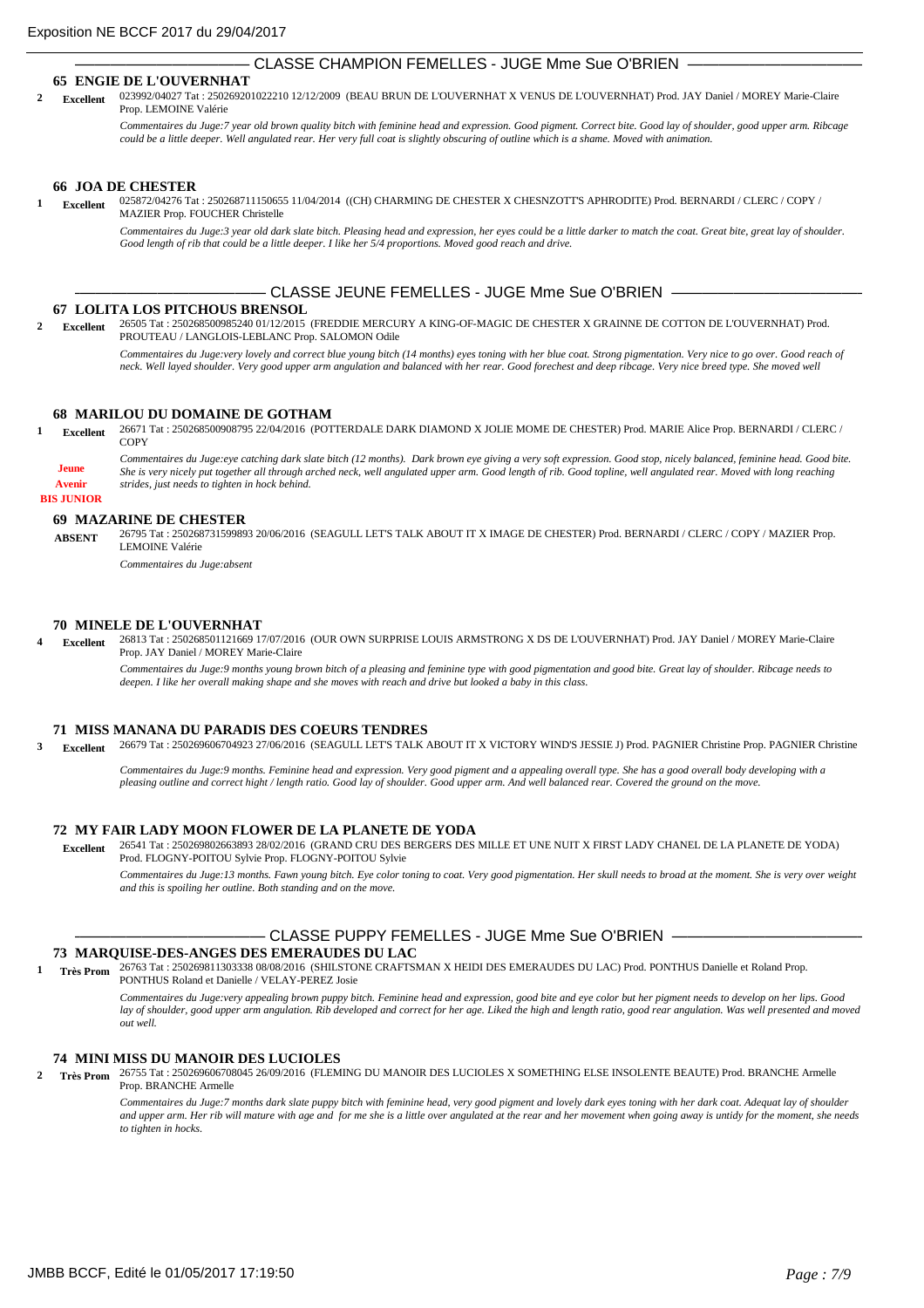## CLASSE CHAMPION FEMELLES - JUGE Mme Sue O'BRIEN

### **65 ENGIE DE L'OUVERNHAT**

023992/04027 Tat : 250269201022210 12/12/2009 (BEAU BRUN DE L'OUVERNHAT X VENUS DE L'OUVERNHAT) Prod. JAY Daniel / MOREY Marie-Claire Prop. LEMOINE Valérie **2 Excellent**

*Commentaires du Juge:7 year old brown quality bitch with feminine head and expression. Good pigment. Correct bite. Good lay of shoulder, good upper arm. Ribcage could be a little deeper. Well angulated rear. Her very full coat is slightly obscuring of outline which is a shame. Moved with animation.*

#### **66 JOA DE CHESTER**

025872/04276 Tat : 250268711150655 11/04/2014 ((CH) CHARMING DE CHESTER X CHESNZOTT'S APHRODITE) Prod. BERNARDI / CLERC / COPY / MAZIER Prop. FOUCHER Christelle **1 Excellent**

*Commentaires du Juge:3 year old dark slate bitch. Pleasing head and expression, her eyes could be a little darker to match the coat. Great bite, great lay of shoulder. Good length of rib that could be a little deeper. I like her 5/4 proportions. Moved good reach and drive.*

## CLASSE JEUNE FEMELLES - JUGE Mme Sue O'BRIEN -

### **67 LOLITA LOS PITCHOUS BRENSOL**

26505 Tat : 250268500985240 01/12/2015 (FREDDIE MERCURY A KING-OF-MAGIC DE CHESTER X GRAINNE DE COTTON DE L'OUVERNHAT) Prod. PROUTEAU / LANGLOIS-LEBLANC Prop. SALOMON Odile **2 Excellent**

> *Commentaires du Juge:very lovely and correct blue young bitch (14 months) eyes toning with her blue coat. Strong pigmentation. Very nice to go over. Good reach of neck. Well layed shoulder. Very good upper arm angulation and balanced with her rear. Good forechest and deep ribcage. Very nice breed type. She moved well*

## **68 MARILOU DU DOMAINE DE GOTHAM**

26671 Tat : 250268500908795 22/04/2016 (POTTERDALE DARK DIAMOND X JOLIE MOME DE CHESTER) Prod. MARIE Alice Prop. BERNARDI / CLERC / **COPY 1 Excellent**

*Commentaires du Juge:eye catching dark slate bitch (12 months). Dark brown eye giving a very soft expression. Good stop, nicely balanced, feminine head. Good bite. She is very nicely put together all through arched neck, well angulated upper arm. Good length of rib. Good topline, well angulated rear. Moved with long reaching strides, just needs to tighten in hock behind.*

### **BIS JUNIOR Avenir**

**Jeune**

## **69 MAZARINE DE CHESTER**

26795 Tat : 250268731599893 20/06/2016 (SEAGULL LET'S TALK ABOUT IT X IMAGE DE CHESTER) Prod. BERNARDI / CLERC / COPY / MAZIER Prop. LEMOINE Valérie **ABSENT**

*Commentaires du Juge:absent*

## **70 MINELE DE L'OUVERNHAT**

26813 Tat : 250268501121669 17/07/2016 (OUR OWN SURPRISE LOUIS ARMSTRONG X DS DE L'OUVERNHAT) Prod. JAY Daniel / MOREY Marie-Claire Prop. JAY Daniel / MOREY Marie-Claire **4 Excellent**

*Commentaires du Juge:9 months young brown bitch of a pleasing and feminine type with good pigmentation and good bite. Great lay of shoulder. Ribcage needs to deepen. I like her overall making shape and she moves with reach and drive but looked a baby in this class.*

## **71 MISS MANANA DU PARADIS DES COEURS TENDRES**

26679 Tat : 250269606704923 27/06/2016 (SEAGULL LET'S TALK ABOUT IT X VICTORY WIND'S JESSIE J) Prod. PAGNIER Christine Prop. PAGNIER Christine **3 Excellent**

*Commentaires du Juge:9 months. Feminine head and expression. Very good pigment and a appealing overall type. She has a good overall body developing with a pleasing outline and correct hight / length ratio. Good lay of shoulder. Good upper arm. And well balanced rear. Covered the ground on the move.*

#### **72 MY FAIR LADY MOON FLOWER DE LA PLANETE DE YODA**

26541 Tat : 250269802663893 28/02/2016 (GRAND CRU DES BERGERS DES MILLE ET UNE NUIT X FIRST LADY CHANEL DE LA PLANETE DE YODA) Prod. FLOGNY-POITOU Sylvie Prop. FLOGNY-POITOU Sylvie  **Excellent**

*Commentaires du Juge:13 months. Fawn young bitch. Eye color toning to coat. Very good pigmentation. Her skull needs to broad at the moment. She is very over weight and this is spoiling her outline. Both standing and on the move.*

# CLASSE PUPPY FEMELLES - JUGE Mme Sue O'BRIEN -

## **73 MARQUISE-DES-ANGES DES EMERAUDES DU LAC**

26763 Tat : 250269811303338 08/08/2016 (SHILSTONE CRAFTSMAN X HEIDI DES EMERAUDES DU LAC) Prod. PONTHUS Danielle et Roland Prop. PONTHUS Roland et Danielle / VELAY-PEREZ Josie **1 Très Prom**

> *Commentaires du Juge:very appealing brown puppy bitch. Feminine head and expression, good bite and eye color but her pigment needs to develop on her lips. Good*  lay of shoulder, good upper arm angulation. Rib developed and correct for her age. Liked the high and length ratio, good rear angulation. Was well presented and moved *out well.*

## **74 MINI MISS DU MANOIR DES LUCIOLES**

26755 Tat : 250269606708045 26/09/2016 (FLEMING DU MANOIR DES LUCIOLES X SOMETHING ELSE INSOLENTE BEAUTE) Prod. BRANCHE Armelle **2 Très Prom** Prop. BRANCHE Armelle

> *Commentaires du Juge:7 months dark slate puppy bitch with feminine head, very good pigment and lovely dark eyes toning with her dark coat. Adequat lay of shoulder*  and upper arm. Her rib will mature with age and for me she is a little over angulated at the rear and her movement when going away is untidy for the moment, she needs *to tighten in hocks.*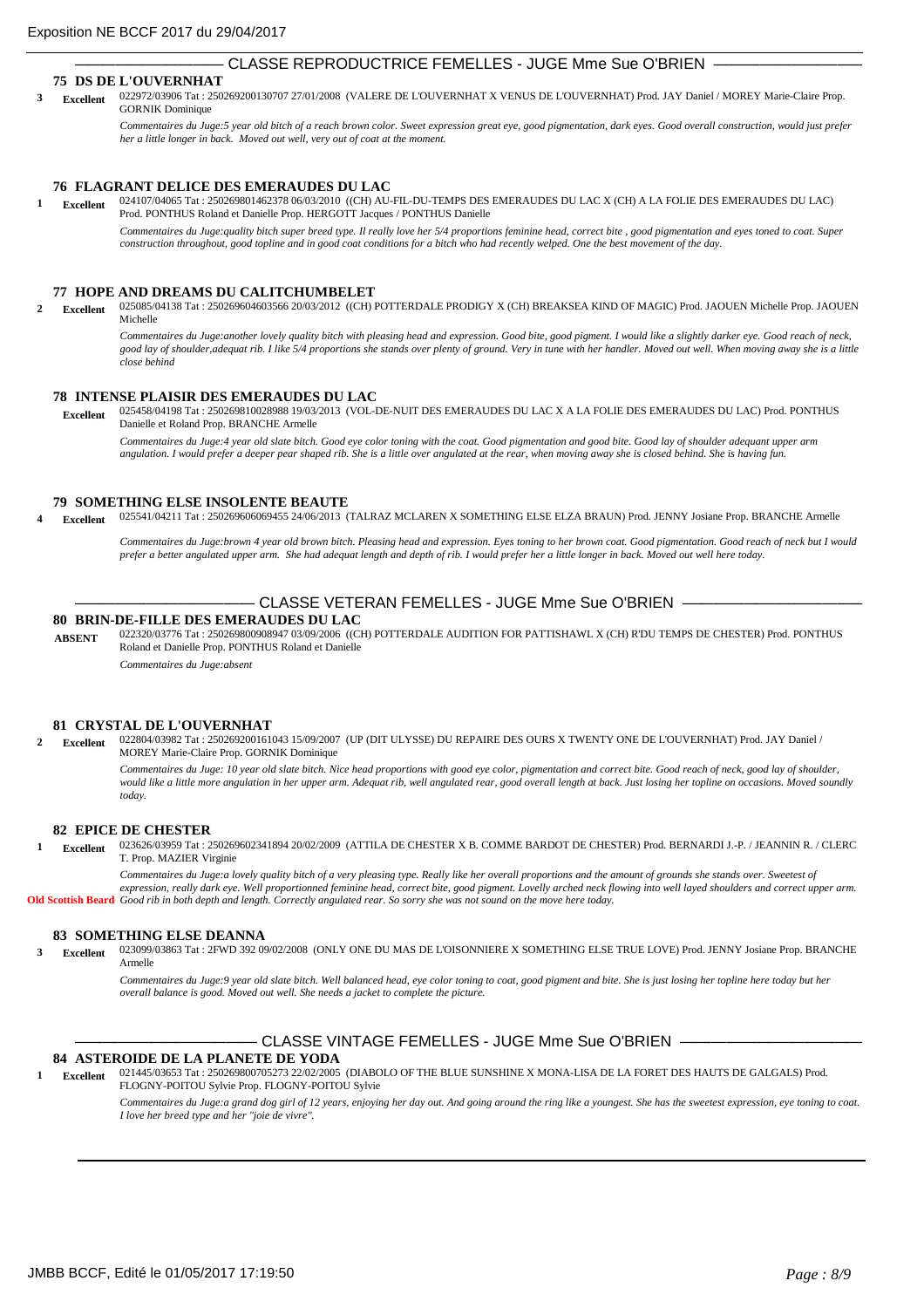## CLASSE REPRODUCTRICE FEMELLES - JUGE Mme Sue O'BRIEN

### **75 DS DE L'OUVERNHAT**

022972/03906 Tat : 250269200130707 27/01/2008 (VALERE DE L'OUVERNHAT X VENUS DE L'OUVERNHAT) Prod. JAY Daniel / MOREY Marie-Claire Prop. GORNIK Dominique **3 Excellent**

> *Commentaires du Juge:5 year old bitch of a reach brown color. Sweet expression great eye, good pigmentation, dark eyes. Good overall construction, would just prefer her a little longer in back. Moved out well, very out of coat at the moment.*

#### **76 FLAGRANT DELICE DES EMERAUDES DU LAC**

024107/04065 Tat : 250269801462378 06/03/2010 ((CH) AU-FIL-DU-TEMPS DES EMERAUDES DU LAC X (CH) A LA FOLIE DES EMERAUDES DU LAC) Prod. PONTHUS Roland et Danielle Prop. HERGOTT Jacques / PONTHUS Danielle **1 Excellent**

*Commentaires du Juge:quality bitch super breed type. Il really love her 5/4 proportions feminine head, correct bite , good pigmentation and eyes toned to coat. Super construction throughout, good topline and in good coat conditions for a bitch who had recently welped. One the best movement of the day.*

### **77 HOPE AND DREAMS DU CALITCHUMBELET**

025085/04138 Tat : 250269604603566 20/03/2012 ((CH) POTTERDALE PRODIGY X (CH) BREAKSEA KIND OF MAGIC) Prod. JAOUEN Michelle Prop. JAOUEN Michelle **2 Excellent**

*Commentaires du Juge:another lovely quality bitch with pleasing head and expression. Good bite, good pigment. I would like a slightly darker eye. Good reach of neck,*  good lay of shoulder, adequat rib. I like 5/4 proportions she stands over plenty of ground. Very in tune with her handler. Moved out well. When moving away she is a little *close behind*

### **78 INTENSE PLAISIR DES EMERAUDES DU LAC**

025458/04198 Tat : 250269810028988 19/03/2013 (VOL-DE-NUIT DES EMERAUDES DU LAC X A LA FOLIE DES EMERAUDES DU LAC) Prod. PONTHUS Danielle et Roland Prop. BRANCHE Armelle  **Excellent**

*Commentaires du Juge:4 year old slate bitch. Good eye color toning with the coat. Good pigmentation and good bite. Good lay of shoulder adequant upper arm angulation. I would prefer a deeper pear shaped rib. She is a little over angulated at the rear, when moving away she is closed behind. She is having fun.*

## **79 SOMETHING ELSE INSOLENTE BEAUTE**

025541/04211 Tat : 250269606069455 24/06/2013 (TALRAZ MCLAREN X SOMETHING ELSE ELZA BRAUN) Prod. JENNY Josiane Prop. BRANCHE Armelle **4 Excellent**

*Commentaires du Juge:brown 4 year old brown bitch. Pleasing head and expression. Eyes toning to her brown coat. Good pigmentation. Good reach of neck but I would prefer a better angulated upper arm. She had adequat length and depth of rib. I would prefer her a little longer in back. Moved out well here today.*

# CLASSE VETERAN FEMELLES - JUGE Mme Sue O'BRIEN -

#### **80 BRIN-DE-FILLE DES EMERAUDES DU LAC**

022320/03776 Tat : 250269800908947 03/09/2006 ((CH) POTTERDALE AUDITION FOR PATTISHAWL X (CH) R'DU TEMPS DE CHESTER) Prod. PONTHUS Roland et Danielle Prop. PONTHUS Roland et Danielle **ABSENT**

*Commentaires du Juge:absent*

#### **81 CRYSTAL DE L'OUVERNHAT**

022804/03982 Tat : 250269200161043 15/09/2007 (UP (DIT ULYSSE) DU REPAIRE DES OURS X TWENTY ONE DE L'OUVERNHAT) Prod. JAY Daniel / MOREY Marie-Claire Prop. GORNIK Dominique **2 Excellent**

> *Commentaires du Juge: 10 year old slate bitch. Nice head proportions with good eye color, pigmentation and correct bite. Good reach of neck, good lay of shoulder, would like a little more angulation in her upper arm. Adequat rib, well angulated rear, good overall length at back. Just losing her topline on occasions. Moved soundly today.*

#### **82 EPICE DE CHESTER**

023626/03959 Tat : 250269602341894 20/02/2009 (ATTILA DE CHESTER X B. COMME BARDOT DE CHESTER) Prod. BERNARDI J.-P. / JEANNIN R. / CLERC T. Prop. MAZIER Virginie **1 Excellent**

*Commentaires du Juge:a lovely quality bitch of a very pleasing type. Really like her overall proportions and the amount of grounds she stands over. Sweetest of expression, really dark eye. Well proportionned feminine head, correct bite, good pigment. Lovelly arched neck flowing into well layed shoulders and correct upper arm.*  Old Scottish Beard Good rib in both depth and length. Correctly angulated rear. So sorry she was not sound on the move here today.

#### **83 SOMETHING ELSE DEANNA**

023099/03863 Tat : 2FWD 392 09/02/2008 (ONLY ONE DU MAS DE L'OISONNIERE X SOMETHING ELSE TRUE LOVE) Prod. JENNY Josiane Prop. BRANCHE Armelle **3 Excellent**

> Commentaires du Juge:9 year old slate bitch. Well balanced head, eye color toning to coat, good pigment and bite. She is just losing her topline here today but her *overall balance is good. Moved out well. She needs a jacket to complete the picture.*

## CLASSE VINTAGE FEMELLES - JUGE Mme Sue O'BRIEN -

## **84 ASTEROIDE DE LA PLANETE DE YODA**

021445/03653 Tat : 250269800705273 22/02/2005 (DIABOLO OF THE BLUE SUNSHINE X MONA-LISA DE LA FORET DES HAUTS DE GALGALS) Prod. FLOGNY-POITOU Sylvie Prop. FLOGNY-POITOU Sylvie **1 Excellent**

*Commentaires du Juge:a grand dog girl of 12 years, enjoying her day out. And going around the ring like a youngest. She has the sweetest expression, eye toning to coat. I love her breed type and her "joie de vivre".*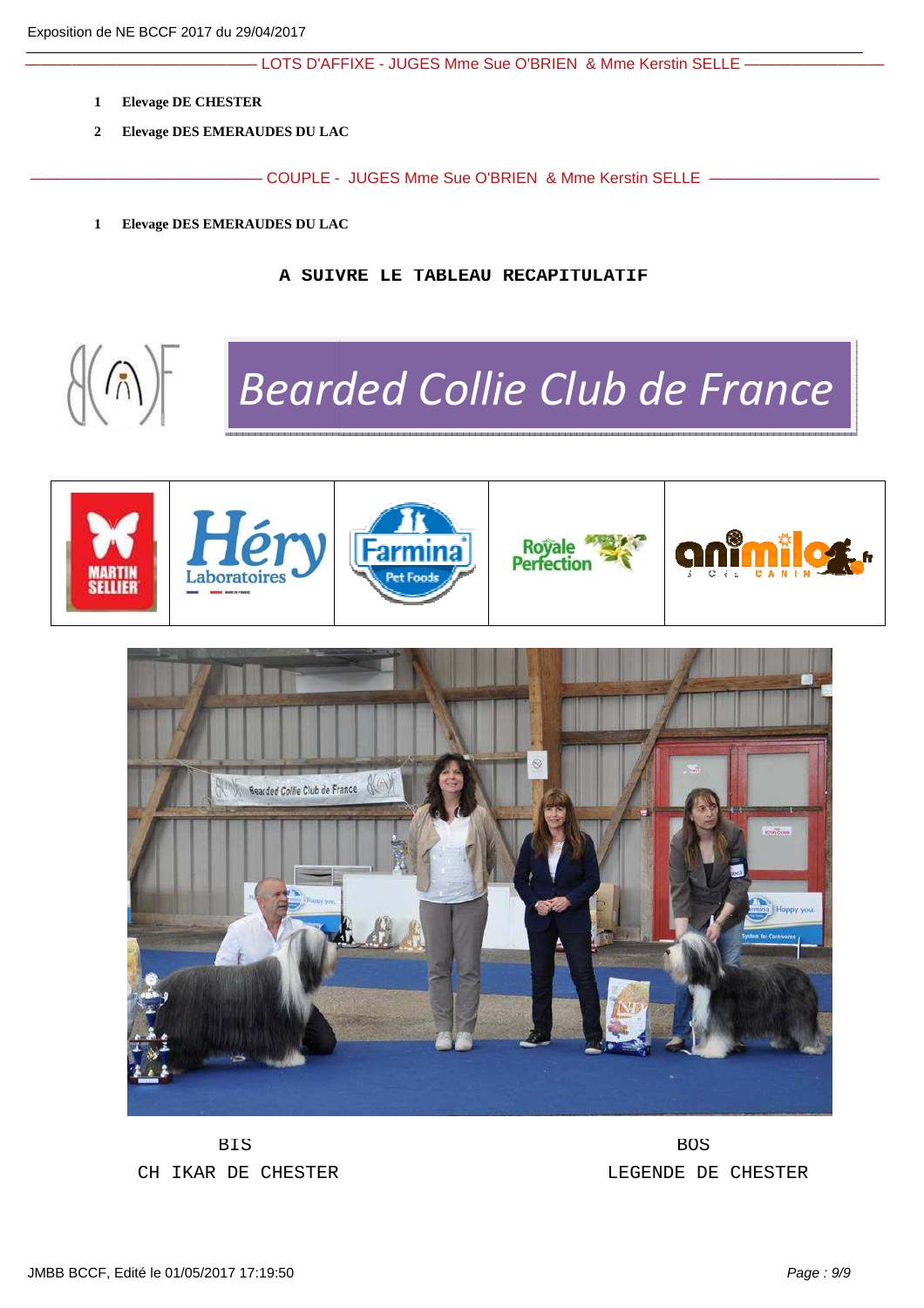- LOTS D'AFFIXE - JUGES Mme Sue O'BRIEN & Mme Kerstin SELLE —

- **1 Elevage DE CHESTER**
- **2 Elevage DES EMERAUDES DU LAC**

——————————————— COUPLE - JUGES Mme Sue O'BRIEN & Mme Kerstin SELLE ———————————

**1 Elevage DES EMERAUDES DU LAC**

**A SUIVRE LE TABLEAU RECAPITULATIF**



*Bearded Collie Club de France*





BIS BOS

CH IKAR DE CHESTER LEGENDE DE CHESTER